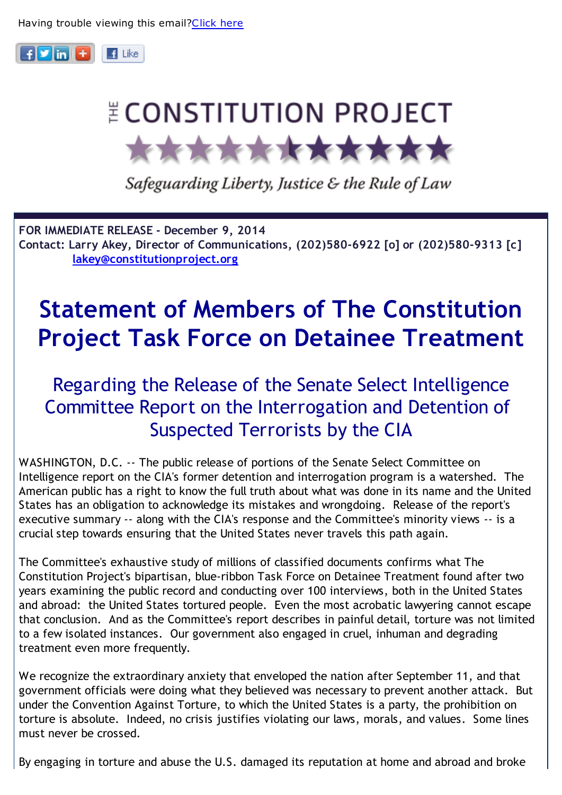



Safeguarding Liberty, Justice & the Rule of Law

**FOR IMMEDIATE RELEASE - December 9, 2014 Contact: Larry Akey, Director of Communications, (202)580-6922 [o] or (202)580-9313 [c] [lakey@constitutionproject.org](mailto:lakey@constitutionproject.org)**

## **Statement of Members of The Constitution Project Task Force on Detainee Treatment**

Regarding the Release of the Senate Select Intelligence Committee Report on the Interrogation and Detention of Suspected Terrorists by the CIA

WASHINGTON, D.C. -- The public release of portions of the Senate Select Committee on Intelligence report on the CIA's former detention and interrogation program is a watershed. The American public has a right to know the full truth about what was done in its name and the United States has an obligation to acknowledge its mistakes and wrongdoing. Release of the report's executive summary -- along with the CIA's response and the Committee's minority views -- is a crucial step towards ensuring that the United States never travels this path again.

The Committee's exhaustive study of millions of classified documents confirms what The Constitution Project's bipartisan, blue-ribbon Task Force on Detainee Treatment found after two years examining the public record and conducting over 100 interviews, both in the United States and abroad: the United States tortured people. Even the most acrobatic lawyering cannot escape that conclusion. And as the Committee's report describes in painful detail, torture was not limited to a few isolated instances. Our government also engaged in cruel, inhuman and degrading treatment even more frequently.

We recognize the extraordinary anxiety that enveloped the nation after September 11, and that government officials were doing what they believed was necessary to prevent another attack. But under the Convention Against Torture, to which the United States is a party, the prohibition on torture is absolute. Indeed, no crisis justifies violating our laws, morals, and values. Some lines must never be crossed.

By engaging in torture and abuse the U.S. damaged its reputation at home and abroad and broke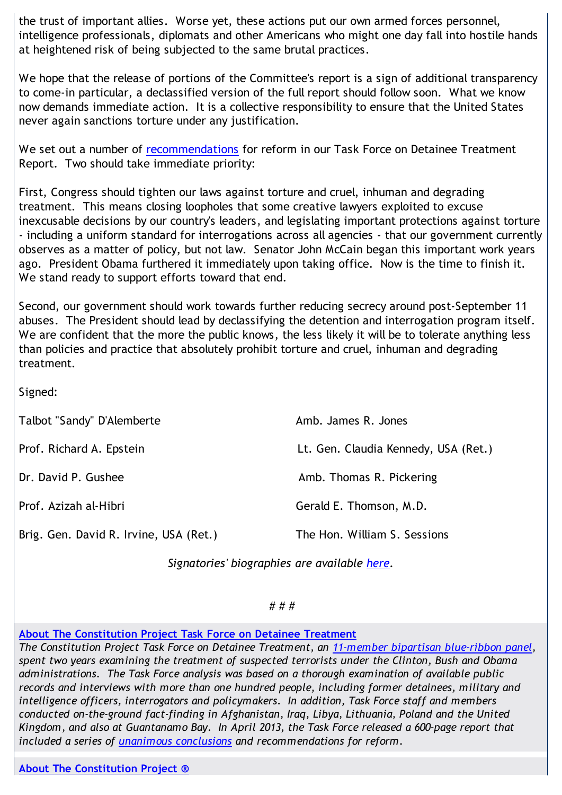the trust of important allies. Worse yet, these actions put our own armed forces personnel, intelligence professionals, diplomats and other Americans who might one day fall into hostile hands at heightened risk of being subjected to the same brutal practices.

We hope that the release of portions of the Committee's report is a sign of additional transparency to come-in particular, a declassified version of the full report should follow soon. What we know now demands immediate action. It is a collective responsibility to ensure that the United States never again sanctions torture under any justification.

We set out a number of [recommendations](http://r20.rs6.net/tn.jsp?f=001U4WG5wYoKXkpOv17fXMIycD3gTt8FTE1Pqi6ktL11E7enRcZCWy4Bc7bP8M_TsjEJW7mBEorPIQbijl6DAFWL6fxoFzMSJQzD5-_wkZwGVZcCwMMu5bD-I-3MSDZ1M4A5CXO0nsGlljw-S4thCuryUFgx1IPvNAmCZTOBcZl94NbZ638T71M_E1_x2BiDOUTmjW4WsQIvz8Z63j_mcOqaxCm2SpcGeekz58EBEAfyVSScpkKsCTK_DjI8m5AVpPbulbCoYbrPZrl8eXKydbyUY7A8kXmitKi42Nk1Mu1l6x95T5sFFSbQDQ-8PfERzhu2kJ-XthX6l0KU6dypm-FM63a9hu5VygNud0kTnY3anTLWBlGHfNbXAK_d_k8_VcJl2U8DsPaEFDgMWF1Cd83reXLr2ypVubW&c=&ch=) for reform in our Task Force on Detainee Treatment Report. Two should take immediate priority:

First, Congress should tighten our laws against torture and cruel, inhuman and degrading treatment. This means closing loopholes that some creative lawyers exploited to excuse inexcusable decisions by our country's leaders, and legislating important protections against torture - including a uniform standard for interrogations across all agencies - that our government currently observes as a matter of policy, but not law. Senator John McCain began this important work years ago. President Obama furthered it immediately upon taking office. Now is the time to finish it. We stand ready to support efforts toward that end.

Second, our government should work towards further reducing secrecy around post-September 11 abuses. The President should lead by declassifying the detention and interrogation program itself. We are confident that the more the public knows, the less likely it will be to tolerate anything less than policies and practice that absolutely prohibit torture and cruel, inhuman and degrading treatment.

Signed:

| Talbot "Sandy" D'Alemberte             | Amb. James R. Jones                  |
|----------------------------------------|--------------------------------------|
| Prof. Richard A. Epstein               | Lt. Gen. Claudia Kennedy, USA (Ret.) |
| Dr. David P. Gushee                    | Amb. Thomas R. Pickering             |
| Prof. Azizah al-Hibri                  | Gerald E. Thomson, M.D.              |
| Brig. Gen. David R. Irvine, USA (Ret.) | The Hon. William S. Sessions         |

*Signatories' biographies are available [here.](http://r20.rs6.net/tn.jsp?f=001U4WG5wYoKXkpOv17fXMIycD3gTt8FTE1Pqi6ktL11E7enRcZCWy4BQEfNcLzezoKM7PRS6FuwKrijwrXmzWtCCjEfAmw-nWdPzhi9QstMjajSCordm8RqHrXLOkj1DWXILb1e_d_v9a4tI_KOik7fuvq0_jKEZrbY9_QQgKnAcNpb-vSFTE-YUisIzPiGatC4ew8MH8FSEyIx2l66ZtTtr_cYIUnB2jpFERvJ_a_XP3gEUbxI71pG0NQ6RgzM1bUYFuE3uZX8Tc6X4huwFWBfQfB-ZaZwv5bXRcRQFuKir25WR-YcN1UxFVdQvSc5WWVXErszvVVw3m2gNM4FTrg2lIuJ8lF5CxxgxyyLplh2tJpGyURmrDMijtgwYmvlyUZN35iS-0WW5SENhSKkzh_ZQ==&c=&ch=)*

# # #

**[About The Constitution Project Task Force on Detainee Treatment](http://r20.rs6.net/tn.jsp?f=001U4WG5wYoKXkpOv17fXMIycD3gTt8FTE1Pqi6ktL11E7enRcZCWy4BeFfW2AZdpn4uTgHkcg7j4vivQgsOIotwsYcrVp3IPu7TRteVVEMnKSGQKmBOCZ1UJYjWXxc8nWE0BgdD_78PQKIJ3AhxKJS2giVBvJUCuJezYKICEOIeKMHx7xvqoqpmVwsaBw83wP5bUyLoG01LOBnILF2gDkELflIAO2cQ9Bfh2AXXNVoWSFLLQgVpRiN6jYsWKUwYNTgdNHzGjomMw9apDm4AIHB58rvsFP6Mgy1A5fXy1E5bt-wa4DUca8PPUlki4f2kbi20RazcbjJjPkEKWYZgSeVbSZdEuR4bwojbWdqhrAsKB4=&c=&ch=)**

*The Constitution Project Task Force on Detainee Treatment, an [11-member bipartisan blue-ribbon panel,](http://r20.rs6.net/tn.jsp?f=001U4WG5wYoKXkpOv17fXMIycD3gTt8FTE1Pqi6ktL11E7enRcZCWy4BQEfNcLzezoKM7PRS6FuwKrijwrXmzWtCCjEfAmw-nWdPzhi9QstMjajSCordm8RqHrXLOkj1DWXILb1e_d_v9a4tI_KOik7fuvq0_jKEZrbY9_QQgKnAcNpb-vSFTE-YUisIzPiGatC4ew8MH8FSEyIx2l66ZtTtr_cYIUnB2jpFERvJ_a_XP3gEUbxI71pG0NQ6RgzM1bUYFuE3uZX8Tc6X4huwFWBfQfB-ZaZwv5bXRcRQFuKir25WR-YcN1UxFVdQvSc5WWVXErszvVVw3m2gNM4FTrg2lIuJ8lF5CxxgxyyLplh2tJpGyURmrDMijtgwYmvlyUZN35iS-0WW5SENhSKkzh_ZQ==&c=&ch=) spent two years examining the treatment of suspected terrorists under the Clinton, Bush and Obama administrations. The Task Force analysis was based on a thorough examination of available public records and interviews with more than one hundred people, including former detainees, military and intelligence officers, interrogators and policymakers. In addition, Task Force staff and members conducted on-the-ground fact-finding in Afghanistan, Iraq, Libya, Lithuania, Poland and the United Kingdom, and also at Guantanamo Bay. In April 2013, the Task Force released a 600-page report that included a series of [unanimous conclusions](http://r20.rs6.net/tn.jsp?f=001U4WG5wYoKXkpOv17fXMIycD3gTt8FTE1Pqi6ktL11E7enRcZCWy4BeFfW2AZdpn4Xu1nomAyBq0x43Qz37XDzjO8mJ-pYCF54W2C8JXiOjCECAiR1uGVk7_wjqoDOct7a1mlZrqanMFJ-7GP7DyS6rxncXO8HPqwXWCuXo_nGu3z7J4UyJofs-QgIeNYAgvTXxvA4gCyG_CdXEXXrNw6YM2M4b4bslR8xocW1baKd9XIhu7ZxgG4g5zLqVR2MaPtZD_y7ZkprIrUMPrlpTR9nGSUwCmt4uwh5hiwI0qrOJKezqmLtBOsNKX6LBOi2iiduxaDccXqQb87V6VQobQAPhLDx2CBTOLzQrCK6RamFqyxlA4oS7xcTQ==&c=&ch=) and recommendations for reform.* 

**[About The Constitution Project ®](http://r20.rs6.net/tn.jsp?f=001U4WG5wYoKXkpOv17fXMIycD3gTt8FTE1Pqi6ktL11E7enRcZCWy4Bd0CHn88GY08tgZPjUEzZO-JS7pomLYIBoU2qBVdFXCQ7Hyh_WdXLUid6dM5mZUDHeATJAv3tRvnpiADhgbPANBbfd0U7MT3cb3LqiilZjKpcI_rjlbHXay1Alm0qiKrLBM-SPwhuLmikV1KvNj3XeaJVTqAiINzs2rjDWn48ZyNTUsctiydlWhDI9rBcn-gWQ073Z44gD8yCLUSMC1q1-nuptS2JJ6QCjPexAtGi0EcSE1TT_hI5pTjbWfM1vjr6X1XAJijl-u1UOL32-S0lui3Zdwznx__OXWgG5tVGrNyP9TOIGxZozhJpmqlqCYVCw==&c=&ch=)**